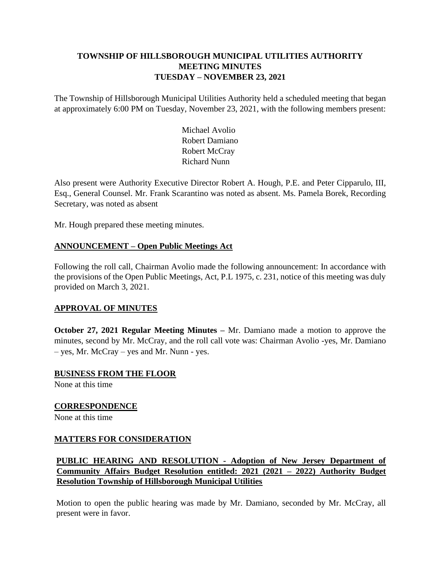### **TOWNSHIP OF HILLSBOROUGH MUNICIPAL UTILITIES AUTHORITY MEETING MINUTES TUESDAY – NOVEMBER 23, 2021**

The Township of Hillsborough Municipal Utilities Authority held a scheduled meeting that began at approximately 6:00 PM on Tuesday, November 23, 2021, with the following members present:

> Michael Avolio Robert Damiano Robert McCray Richard Nunn

Also present were Authority Executive Director Robert A. Hough, P.E. and Peter Cipparulo, III, Esq., General Counsel. Mr. Frank Scarantino was noted as absent. Ms. Pamela Borek, Recording Secretary, was noted as absent

Mr. Hough prepared these meeting minutes.

#### **ANNOUNCEMENT – Open Public Meetings Act**

Following the roll call, Chairman Avolio made the following announcement: In accordance with the provisions of the Open Public Meetings, Act, P.L 1975, c. 231, notice of this meeting was duly provided on March 3, 2021.

#### **APPROVAL OF MINUTES**

**October 27, 2021 Regular Meeting Minutes –** Mr. Damiano made a motion to approve the minutes, second by Mr. McCray, and the roll call vote was: Chairman Avolio -yes, Mr. Damiano – yes, Mr. McCray – yes and Mr. Nunn - yes.

**BUSINESS FROM THE FLOOR** None at this time

**CORRESPONDENCE** None at this time

#### **MATTERS FOR CONSIDERATION**

## **PUBLIC HEARING AND RESOLUTION - Adoption of New Jersey Department of Community Affairs Budget Resolution entitled: 2021 (2021 – 2022) Authority Budget Resolution Township of Hillsborough Municipal Utilities**

Motion to open the public hearing was made by Mr. Damiano, seconded by Mr. McCray, all present were in favor.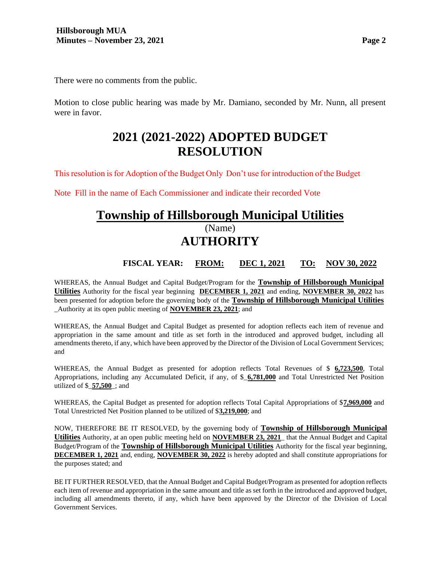There were no comments from the public.

Motion to close public hearing was made by Mr. Damiano, seconded by Mr. Nunn, all present were in favor.

# **2021 (2021-2022) ADOPTED BUDGET RESOLUTION**

This resolution is for Adoption of the Budget Only Don't use for introduction of the Budget

Note Fill in the name of Each Commissioner and indicate their recorded Vote

## **Township of Hillsborough Municipal Utilities** (Name) **AUTHORITY**

## **FISCAL YEAR: FROM: DEC 1, 2021 TO: NOV 30, 2022**

WHEREAS, the Annual Budget and Capital Budget/Program for the **Township of Hillsborough Municipal Utilities** Authority for the fiscal year beginning **DECEMBER 1, 2021** and ending, **NOVEMBER 30, 2022** has been presented for adoption before the governing body of the **Township of Hillsborough Municipal Utilities** \_Authority at its open public meeting of **NOVEMBER 23, 2021**; and

WHEREAS, the Annual Budget and Capital Budget as presented for adoption reflects each item of revenue and appropriation in the same amount and title as set forth in the introduced and approved budget, including all amendments thereto, if any, which have been approved by the Director of the Division of Local Government Services; and

WHEREAS, the Annual Budget as presented for adoption reflects Total Revenues of \$ **6,723,500**, Total Appropriations, including any Accumulated Deficit, if any, of \$\_**6,781,000** and Total Unrestricted Net Position utilized of \$\_**57,500**\_; and

WHEREAS, the Capital Budget as presented for adoption reflects Total Capital Appropriations of \$**7,969,000** and Total Unrestricted Net Position planned to be utilized of \$**3,219,000**; and

NOW, THEREFORE BE IT RESOLVED, by the governing body of **Township of Hillsborough Municipal Utilities** Authority, at an open public meeting held on **NOVEMBER 23, 2021**\_ that the Annual Budget and Capital Budget/Program of the **Township of Hillsborough Municipal Utilities** Authority for the fiscal year beginning, **DECEMBER 1, 2021** and, ending, **NOVEMBER 30, 2022** is hereby adopted and shall constitute appropriations for the purposes stated; and

BE IT FURTHER RESOLVED, that the Annual Budget and Capital Budget/Program as presented for adoption reflects each item of revenue and appropriation in the same amount and title as set forth in the introduced and approved budget, including all amendments thereto, if any, which have been approved by the Director of the Division of Local Government Services.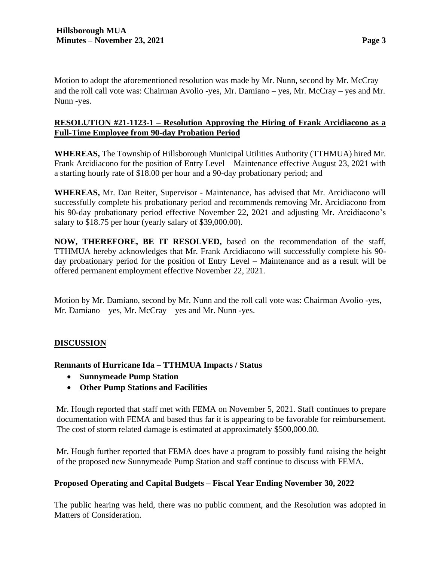Motion to adopt the aforementioned resolution was made by Mr. Nunn, second by Mr. McCray and the roll call vote was: Chairman Avolio -yes, Mr. Damiano – yes, Mr. McCray – yes and Mr. Nunn -yes.

#### **RESOLUTION #21-1123-1 – Resolution Approving the Hiring of Frank Arcidiacono as a Full-Time Employee from 90-day Probation Period**

**WHEREAS,** The Township of Hillsborough Municipal Utilities Authority (TTHMUA) hired Mr. Frank Arcidiacono for the position of Entry Level – Maintenance effective August 23, 2021 with a starting hourly rate of \$18.00 per hour and a 90-day probationary period; and

**WHEREAS,** Mr. Dan Reiter, Supervisor - Maintenance, has advised that Mr. Arcidiacono will successfully complete his probationary period and recommends removing Mr. Arcidiacono from his 90-day probationary period effective November 22, 2021 and adjusting Mr. Arcidiacono's salary to \$18.75 per hour (yearly salary of \$39,000.00).

**NOW, THEREFORE, BE IT RESOLVED,** based on the recommendation of the staff, TTHMUA hereby acknowledges that Mr. Frank Arcidiacono will successfully complete his 90 day probationary period for the position of Entry Level – Maintenance and as a result will be offered permanent employment effective November 22, 2021.

Motion by Mr. Damiano, second by Mr. Nunn and the roll call vote was: Chairman Avolio -yes, Mr. Damiano – yes, Mr. McCray – yes and Mr. Nunn -yes.

#### **DISCUSSION**

#### **Remnants of Hurricane Ida – TTHMUA Impacts / Status**

- **Sunnymeade Pump Station**
- **Other Pump Stations and Facilities**

Mr. Hough reported that staff met with FEMA on November 5, 2021. Staff continues to prepare documentation with FEMA and based thus far it is appearing to be favorable for reimbursement. The cost of storm related damage is estimated at approximately \$500,000.00.

Mr. Hough further reported that FEMA does have a program to possibly fund raising the height of the proposed new Sunnymeade Pump Station and staff continue to discuss with FEMA.

#### **Proposed Operating and Capital Budgets – Fiscal Year Ending November 30, 2022**

The public hearing was held, there was no public comment, and the Resolution was adopted in Matters of Consideration.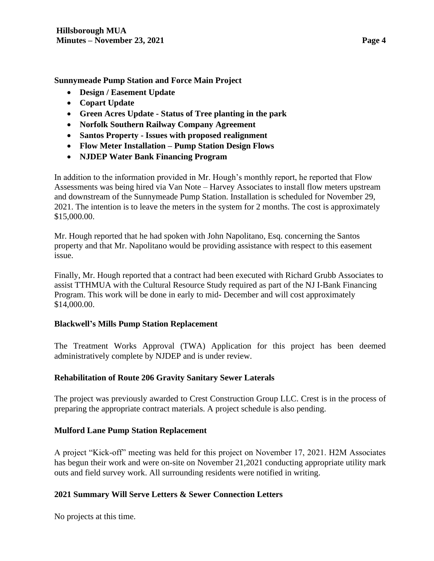#### **Sunnymeade Pump Station and Force Main Project**

- **Design / Easement Update**
- **Copart Update**
- **Green Acres Update - Status of Tree planting in the park**
- **Norfolk Southern Railway Company Agreement**
- **Santos Property - Issues with proposed realignment**
- **Flow Meter Installation – Pump Station Design Flows**
- **NJDEP Water Bank Financing Program**

In addition to the information provided in Mr. Hough's monthly report, he reported that Flow Assessments was being hired via Van Note – Harvey Associates to install flow meters upstream and downstream of the Sunnymeade Pump Station. Installation is scheduled for November 29, 2021. The intention is to leave the meters in the system for 2 months. The cost is approximately \$15,000.00.

Mr. Hough reported that he had spoken with John Napolitano, Esq. concerning the Santos property and that Mr. Napolitano would be providing assistance with respect to this easement issue.

Finally, Mr. Hough reported that a contract had been executed with Richard Grubb Associates to assist TTHMUA with the Cultural Resource Study required as part of the NJ I-Bank Financing Program. This work will be done in early to mid- December and will cost approximately \$14,000.00.

## **Blackwell's Mills Pump Station Replacement**

The Treatment Works Approval (TWA) Application for this project has been deemed administratively complete by NJDEP and is under review.

## **Rehabilitation of Route 206 Gravity Sanitary Sewer Laterals**

The project was previously awarded to Crest Construction Group LLC. Crest is in the process of preparing the appropriate contract materials. A project schedule is also pending.

## **Mulford Lane Pump Station Replacement**

A project "Kick-off" meeting was held for this project on November 17, 2021. H2M Associates has begun their work and were on-site on November 21,2021 conducting appropriate utility mark outs and field survey work. All surrounding residents were notified in writing.

## **2021 Summary Will Serve Letters & Sewer Connection Letters**

No projects at this time.